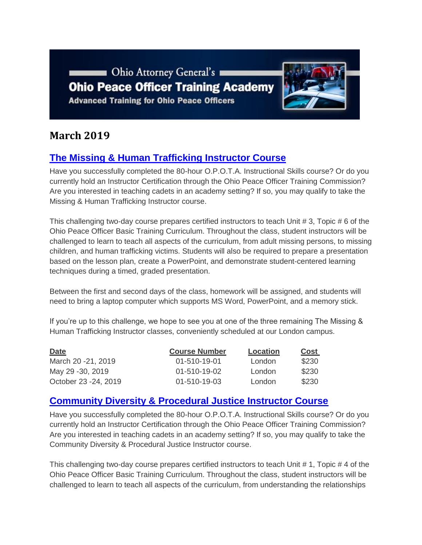Ohio Attorney General's **Ohio Peace Officer Training Academy Advanced Training for Ohio Peace Officers** 



# **March 2019**

# **[The Missing & Human Trafficking Instructor Course](https://www.ohioattorneygeneral.gov/Media/Newsletters/Ohio-Peace-Officer-Training-Academy-email-newslett/March-2019/The-Missing-Human-Trafficking-Instructor-Course)**

Have you successfully completed the 80-hour O.P.O.T.A. Instructional Skills course? Or do you currently hold an Instructor Certification through the Ohio Peace Officer Training Commission? Are you interested in teaching cadets in an academy setting? If so, you may qualify to take the Missing & Human Trafficking Instructor course.

This challenging two-day course prepares certified instructors to teach Unit # 3, Topic # 6 of the Ohio Peace Officer Basic Training Curriculum. Throughout the class, student instructors will be challenged to learn to teach all aspects of the curriculum, from adult missing persons, to missing children, and human trafficking victims. Students will also be required to prepare a presentation based on the lesson plan, create a PowerPoint, and demonstrate student-centered learning techniques during a timed, graded presentation.

Between the first and second days of the class, homework will be assigned, and students will need to bring a laptop computer which supports MS Word, PowerPoint, and a memory stick.

If you're up to this challenge, we hope to see you at one of the three remaining The Missing & Human Trafficking Instructor classes, conveniently scheduled at our London campus.

| <b>Date</b>           | <b>Course Number</b> | Location | Cost  |
|-----------------------|----------------------|----------|-------|
| March 20 - 21, 2019   | $01 - 510 - 19 - 01$ | London   | \$230 |
| May 29 -30, 2019      | $01 - 510 - 19 - 02$ | London   | \$230 |
| October 23 - 24, 2019 | $01 - 510 - 19 - 03$ | London   | \$230 |

## **[Community Diversity & Procedural Justice Instructor Course](https://www.ohioattorneygeneral.gov/Media/Newsletters/Ohio-Peace-Officer-Training-Academy-email-newslett/March-2019/Community-Diversity-Procedural-Justice-Instructor)**

Have you successfully completed the 80-hour O.P.O.T.A. Instructional Skills course? Or do you currently hold an Instructor Certification through the Ohio Peace Officer Training Commission? Are you interested in teaching cadets in an academy setting? If so, you may qualify to take the Community Diversity & Procedural Justice Instructor course.

This challenging two-day course prepares certified instructors to teach Unit # 1, Topic # 4 of the Ohio Peace Officer Basic Training Curriculum. Throughout the class, student instructors will be challenged to learn to teach all aspects of the curriculum, from understanding the relationships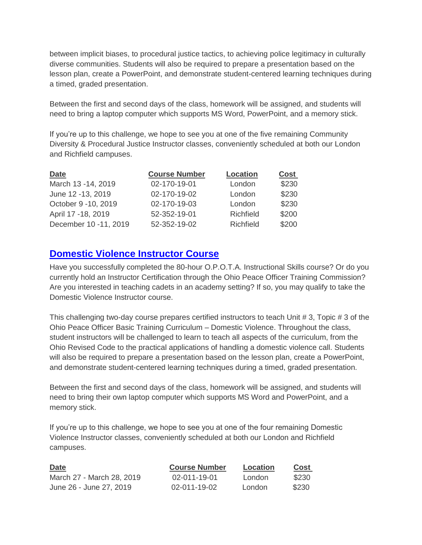between implicit biases, to procedural justice tactics, to achieving police legitimacy in culturally diverse communities. Students will also be required to prepare a presentation based on the lesson plan, create a PowerPoint, and demonstrate student-centered learning techniques during a timed, graded presentation.

Between the first and second days of the class, homework will be assigned, and students will need to bring a laptop computer which supports MS Word, PowerPoint, and a memory stick.

If you're up to this challenge, we hope to see you at one of the five remaining Community Diversity & Procedural Justice Instructor classes, conveniently scheduled at both our London and Richfield campuses.

| <b>Date</b>           | <b>Course Number</b> | <b>Location</b> | <b>Cost</b> |
|-----------------------|----------------------|-----------------|-------------|
| March 13 - 14, 2019   | 02-170-19-01         | London          | \$230       |
| June 12 -13, 2019     | 02-170-19-02         | London          | \$230       |
| October 9 -10, 2019   | 02-170-19-03         | London          | \$230       |
| April 17 - 18, 2019   | 52-352-19-01         | Richfield       | \$200       |
| December 10 -11, 2019 | 52-352-19-02         | Richfield       | \$200       |

### **[Domestic Violence Instructor Course](https://www.ohioattorneygeneral.gov/Media/Newsletters/Ohio-Peace-Officer-Training-Academy-email-newslett/March-2019/Domestic-Violence-Instructor-Course)**

Have you successfully completed the 80-hour O.P.O.T.A. Instructional Skills course? Or do you currently hold an Instructor Certification through the Ohio Peace Officer Training Commission? Are you interested in teaching cadets in an academy setting? If so, you may qualify to take the Domestic Violence Instructor course.

This challenging two-day course prepares certified instructors to teach Unit # 3, Topic # 3 of the Ohio Peace Officer Basic Training Curriculum – Domestic Violence. Throughout the class, student instructors will be challenged to learn to teach all aspects of the curriculum, from the Ohio Revised Code to the practical applications of handling a domestic violence call. Students will also be required to prepare a presentation based on the lesson plan, create a PowerPoint, and demonstrate student-centered learning techniques during a timed, graded presentation.

Between the first and second days of the class, homework will be assigned, and students will need to bring their own laptop computer which supports MS Word and PowerPoint, and a memory stick.

If you're up to this challenge, we hope to see you at one of the four remaining Domestic Violence Instructor classes, conveniently scheduled at both our London and Richfield campuses.

| <b>Date</b><br>___        | <b>Course Number</b> | Location | <b>Cost</b> |
|---------------------------|----------------------|----------|-------------|
| March 27 - March 28, 2019 | 02-011-19-01         | London   | \$230       |
| June 26 - June 27, 2019   | $02 - 011 - 19 - 02$ | London   | \$230       |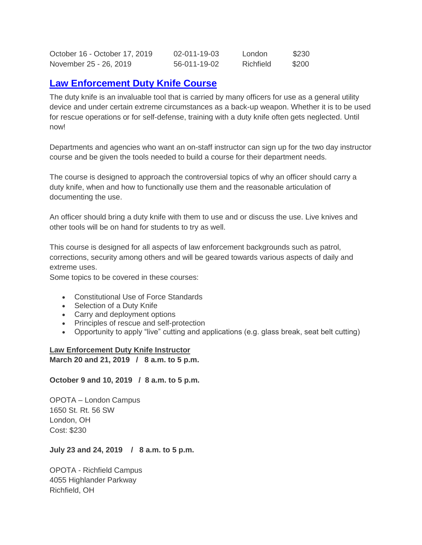| October 16 - October 17, 2019 | $02 - 011 - 19 - 03$ | London    | \$230 |
|-------------------------------|----------------------|-----------|-------|
| November 25 - 26, 2019        | 56-011-19-02         | Richfield | \$200 |

### **[Law Enforcement Duty Knife Course](https://www.ohioattorneygeneral.gov/Media/Newsletters/Ohio-Peace-Officer-Training-Academy-email-newslett/March-2019/Law-Enforcement-Duty-Knife-Course)**

The duty knife is an invaluable tool that is carried by many officers for use as a general utility device and under certain extreme circumstances as a back-up weapon. Whether it is to be used for rescue operations or for self-defense, training with a duty knife often gets neglected. Until now!

Departments and agencies who want an on-staff instructor can sign up for the two day instructor course and be given the tools needed to build a course for their department needs.

The course is designed to approach the controversial topics of why an officer should carry a duty knife, when and how to functionally use them and the reasonable articulation of documenting the use.

An officer should bring a duty knife with them to use and or discuss the use. Live knives and other tools will be on hand for students to try as well.

This course is designed for all aspects of law enforcement backgrounds such as patrol, corrections, security among others and will be geared towards various aspects of daily and extreme uses.

Some topics to be covered in these courses:

- Constitutional Use of Force Standards
- Selection of a Duty Knife
- Carry and deployment options
- Principles of rescue and self-protection
- Opportunity to apply "live" cutting and applications (e.g. glass break, seat belt cutting)

#### **Law Enforcement Duty Knife Instructor**

**March 20 and 21, 2019 / 8 a.m. to 5 p.m.**

#### **October 9 and 10, 2019 / 8 a.m. to 5 p.m.**

OPOTA – London Campus 1650 St. Rt. 56 SW London, OH Cost: \$230

#### **July 23 and 24, 2019 / 8 a.m. to 5 p.m.**

OPOTA - Richfield Campus 4055 Highlander Parkway Richfield, OH